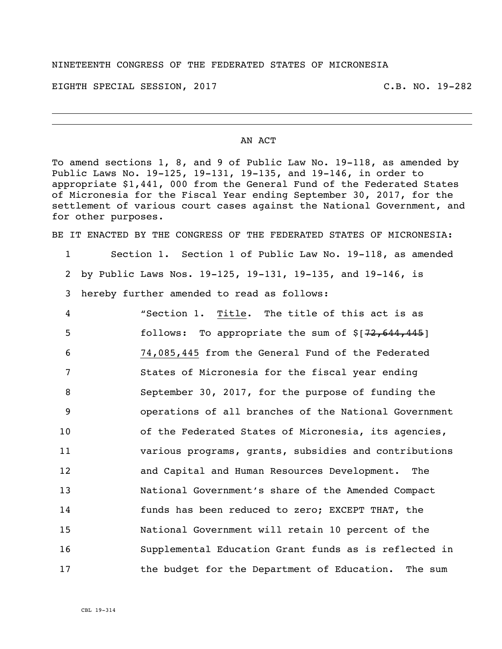## NINETEENTH CONGRESS OF THE FEDERATED STATES OF MICRONESIA

EIGHTH SPECIAL SESSION, 2017 C.B. NO. 19-282

## AN ACT

To amend sections 1, 8, and 9 of Public Law No. 19-118, as amended by Public Laws No. 19-125, 19-131, 19-135, and 19-146, in order to appropriate \$1,441, 000 from the General Fund of the Federated States of Micronesia for the Fiscal Year ending September 30, 2017, for the settlement of various court cases against the National Government, and for other purposes.

BE IT ENACTED BY THE CONGRESS OF THE FEDERATED STATES OF MICRONESIA:

1 Section 1. Section 1 of Public Law No. 19-118, as amended 2 by Public Laws Nos. 19-125, 19-131, 19-135, and 19-146, is 3 hereby further amended to read as follows:

 "Section 1. Title. The title of this act is as **follows:** To appropriate the sum of \$[72,644,445] 74,085,445 from the General Fund of the Federated States of Micronesia for the fiscal year ending September 30, 2017, for the purpose of funding the operations of all branches of the National Government 10 of the Federated States of Micronesia, its agencies, various programs, grants, subsidies and contributions and Capital and Human Resources Development. The National Government's share of the Amended Compact funds has been reduced to zero; EXCEPT THAT, the National Government will retain 10 percent of the Supplemental Education Grant funds as is reflected in 17 the budget for the Department of Education. The sum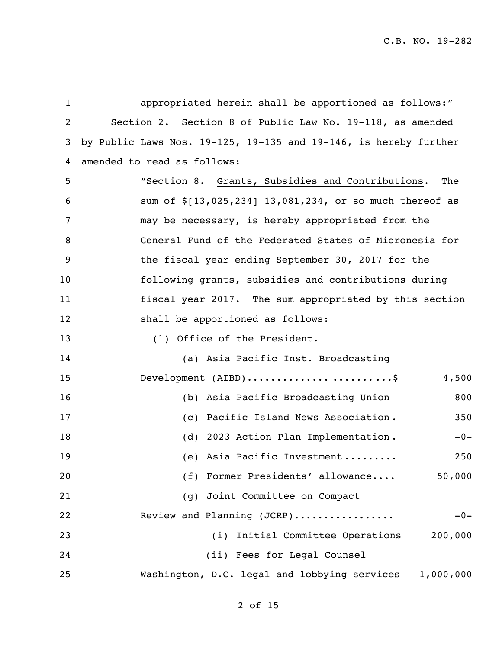| $\mathbf{1}$   | appropriated herein shall be apportioned as follows:"                          |  |
|----------------|--------------------------------------------------------------------------------|--|
| $\overline{2}$ | Section 2. Section 8 of Public Law No. 19-118, as amended                      |  |
| 3              | by Public Laws Nos. $19-125$ , $19-135$ and $19-146$ , is hereby further       |  |
| 4              | amended to read as follows:                                                    |  |
| 5              | "Section 8. Grants, Subsidies and Contributions.<br>The                        |  |
| 6              | sum of $$[13,025,234]$ 13,081,234, or so much thereof as                       |  |
| 7              | may be necessary, is hereby appropriated from the                              |  |
| 8              | General Fund of the Federated States of Micronesia for                         |  |
| 9              | the fiscal year ending September 30, 2017 for the                              |  |
| 10             | following grants, subsidies and contributions during                           |  |
| 11             | fiscal year 2017. The sum appropriated by this section                         |  |
| 12             | shall be apportioned as follows:                                               |  |
| 13             | (1) Office of the President.                                                   |  |
| 14             | (a) Asia Pacific Inst. Broadcasting                                            |  |
| 15             | Development $(AIBD) \ldots \ldots \ldots \ldots \ldots \ldots \ldots$<br>4,500 |  |
| 16             | (b) Asia Pacific Broadcasting Union<br>800                                     |  |
| 17             | (c) Pacific Island News Association.<br>350                                    |  |
| 18             | (d) 2023 Action Plan Implementation.<br>$-0-$                                  |  |
| 19             | (e) Asia Pacific Investment<br>250                                             |  |
| 20             | 50,000<br>(f) Former Presidents' allowance                                     |  |
| 21             | (g) Joint Committee on Compact                                                 |  |
| 22             | Review and Planning (JCRP)<br>$-0-$                                            |  |
| 23             | (i) Initial Committee Operations<br>200,000                                    |  |
| 24             | (ii) Fees for Legal Counsel                                                    |  |
| 25             | Washington, D.C. legal and lobbying services<br>1,000,000                      |  |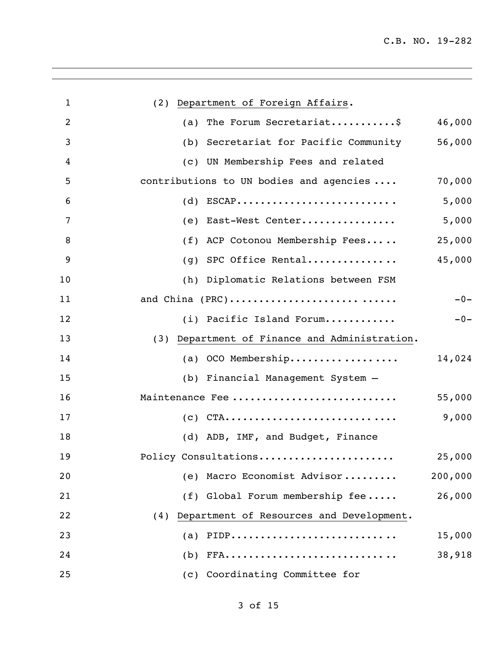| $\mathbf{1}$   | (2) Department of Foreign Affairs.              |         |
|----------------|-------------------------------------------------|---------|
| $\overline{2}$ | (a) The Forum Secretariat\$                     | 46,000  |
| 3              | (b) Secretariat for Pacific Community           | 56,000  |
| 4              | (c) UN Membership Fees and related              |         |
| 5              | contributions to UN bodies and agencies         | 70,000  |
| 6              | $(d)$ ESCAP                                     | 5,000   |
| 7              | (e) East-West Center                            | 5,000   |
| 8              | (f) ACP Cotonou Membership Fees                 | 25,000  |
| 9              | $(g)$ SPC Office Rental                         | 45,000  |
| 10             | (h) Diplomatic Relations between FSM            |         |
| 11             | and China (PRC)                                 | $-0-$   |
| 12             | (i) Pacific Island Forum                        | $-0-$   |
| 13             | (3) Department of Finance and Administration.   |         |
| 14             | (a) OCO Membership                              | 14,024  |
| 15             | (b) Financial Management System -               |         |
| 16             | Maintenance Fee                                 | 55,000  |
| 17             | $(c)$ CTA                                       | 9,000   |
| 18             | (d) ADB, IMF, and Budget, Finance               |         |
| 19             | Policy Consultations                            | 25,000  |
| 20             | (e) Macro Economist Advisor                     | 200,000 |
| 21             | (f) Global Forum membership fee                 | 26,000  |
| 22             | Department of Resources and Development.<br>(4) |         |
| 23             | PIDP<br>(a)                                     | 15,000  |
| 24             | (b)                                             | 38,918  |
| 25             | (c) Coordinating Committee for                  |         |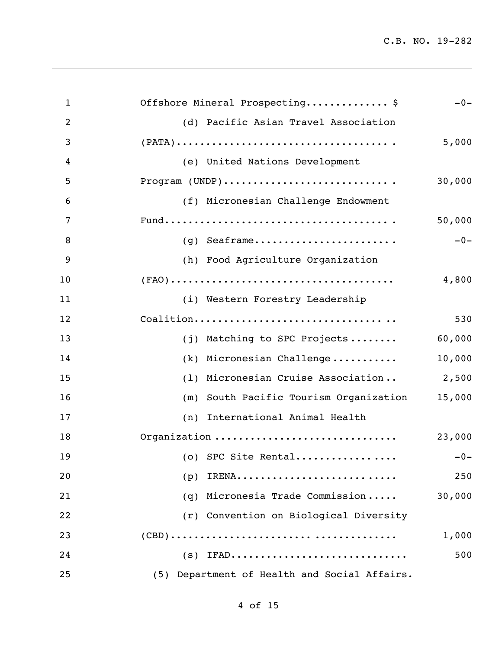| $\mathbf{1}$   | Offshore Mineral Prospecting\$<br>$-0-$                                                                       |
|----------------|---------------------------------------------------------------------------------------------------------------|
| $\overline{2}$ | (d) Pacific Asian Travel Association                                                                          |
| 3              | $(PATA) \dots \dots \dots \dots \dots \dots \dots \dots \dots \dots \dots \dots \dots$<br>5,000               |
| 4              | (e) United Nations Development                                                                                |
| 5              | 30,000                                                                                                        |
| 6              | (f) Micronesian Challenge Endowment                                                                           |
| 7              | 50,000                                                                                                        |
| 8              | $(g)$ Seaframe<br>$-0-$                                                                                       |
| 9              | (h) Food Agriculture Organization                                                                             |
| 10             | $(\texttt{FAO}) \dots \dots \dots \dots \dots \dots \dots \dots \dots \dots \dots \dots \dots \dots$<br>4,800 |
| 11             | (i) Western Forestry Leadership                                                                               |
| 12             | Coalition<br>530                                                                                              |
| 13             | 60,000<br>(j) Matching to SPC Projects                                                                        |
| 14             | (k) Micronesian Challenge<br>10,000                                                                           |
| 15             | (1) Micronesian Cruise Association<br>2,500                                                                   |
| 16             | (m) South Pacific Tourism Organization<br>15,000                                                              |
| 17             | (n) International Animal Health                                                                               |
| 18             | Organization<br>23,000                                                                                        |
| 19             | (o) SPC Site Rental<br>$-0-$                                                                                  |
| 20             | 250<br>IRENA<br>(p)                                                                                           |
| 21             | (q) Micronesia Trade Commission<br>30,000                                                                     |
| 22             | (r) Convention on Biological Diversity                                                                        |
| 23             | 1,000                                                                                                         |
| 24             | 500<br>$(s)$ IFAD                                                                                             |
| 25             | (5) Department of Health and Social Affairs.                                                                  |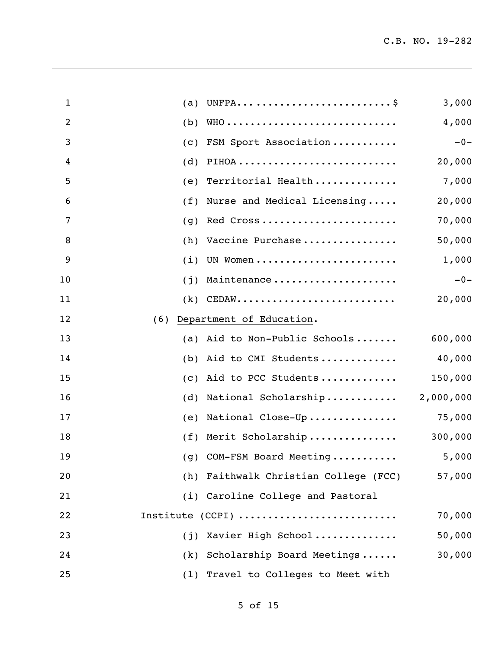| $\mathbf{1}$   | (a) |                                                                              | 3,000     |
|----------------|-----|------------------------------------------------------------------------------|-----------|
| $\overline{2}$ | (b) |                                                                              | 4,000     |
| 3              | (C) | FSM Sport Association                                                        | $-0-$     |
| 4              | (d) |                                                                              | 20,000    |
| 5              | (e) | Territorial Health                                                           | 7,000     |
| 6              | (f) | Nurse and Medical Licensing                                                  | 20,000    |
| 7              | (q) | Red Cross                                                                    | 70,000    |
| 8              | (h) | Vaccine Purchase                                                             | 50,000    |
| 9              | (i) | UN Women                                                                     | 1,000     |
| 10             | (j) | Maintenance                                                                  | $-0-$     |
| 11             | (k) | $\mathtt{CEDAW} \dots \dots \dots \dots \dots \dots \dots \dots \dots \dots$ | 20,000    |
| 12             | (6) | Department of Education.                                                     |           |
| 13             | (a) | Aid to Non-Public Schools                                                    | 600,000   |
| 14             | (b) | Aid to CMI Students                                                          | 40,000    |
| 15             | (C) | Aid to PCC Students                                                          | 150,000   |
| 16             | (d) | National Scholarship                                                         | 2,000,000 |
| 17             | (e) | National Close-Up                                                            | 75,000    |
| 18             |     | (f) Merit Scholarship                                                        | 300,000   |
| 19             |     | (g) COM-FSM Board Meeting                                                    | 5,000     |
| 20             |     | (h) Faithwalk Christian College (FCC)                                        | 57,000    |
| 21             |     | (i) Caroline College and Pastoral                                            |           |
| 22             |     | Institute (CCPI)                                                             | 70,000    |
| 23             |     | (j) Xavier High School                                                       | 50,000    |
| 24             |     | (k) Scholarship Board Meetings                                               | 30,000    |
| 25             |     | (1) Travel to Colleges to Meet with                                          |           |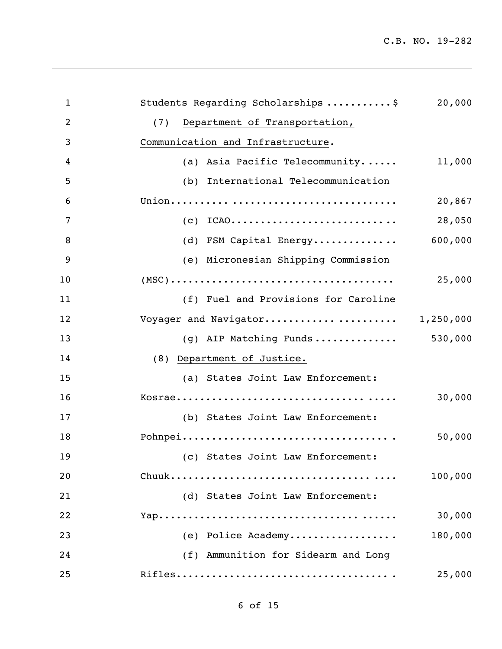| $\mathbf{1}$   | Students Regarding Scholarships \$                                                          | 20,000  |
|----------------|---------------------------------------------------------------------------------------------|---------|
| $\overline{2}$ | Department of Transportation,<br>(7)                                                        |         |
| 3              | Communication and Infrastructure.                                                           |         |
| 4              | (a) Asia Pacific Telecommunity                                                              | 11,000  |
| 5              | (b) International Telecommunication                                                         |         |
| 6              |                                                                                             | 20,867  |
| 7              | $(c)$ ICAO                                                                                  | 28,050  |
| 8              | (d) FSM Capital Energy                                                                      | 600,000 |
| 9              | (e) Micronesian Shipping Commission                                                         |         |
| 10             | $(MSC) \dots \dots \dots \dots \dots \dots \dots \dots \dots \dots \dots \dots \dots \dots$ | 25,000  |
| 11             | (f) Fuel and Provisions for Caroline                                                        |         |
| 12             | Voyager and Navigator 1,250,000                                                             |         |
| 13             | (g) AIP Matching Funds                                                                      | 530,000 |
| 14             | (8) Department of Justice.                                                                  |         |
| 15             | (a) States Joint Law Enforcement:                                                           |         |
| 16             |                                                                                             | 30,000  |
| 17             | (b) States Joint Law Enforcement:                                                           |         |
| 18             |                                                                                             | 50,000  |
| 19             | (c) States Joint Law Enforcement:                                                           |         |
| 20             |                                                                                             | 100,000 |
| 21             | (d) States Joint Law Enforcement:                                                           |         |
| 22             |                                                                                             | 30,000  |
| 23             | (e) Police Academy                                                                          | 180,000 |
| 24             | (f) Ammunition for Sidearm and Long                                                         |         |
| 25             |                                                                                             | 25,000  |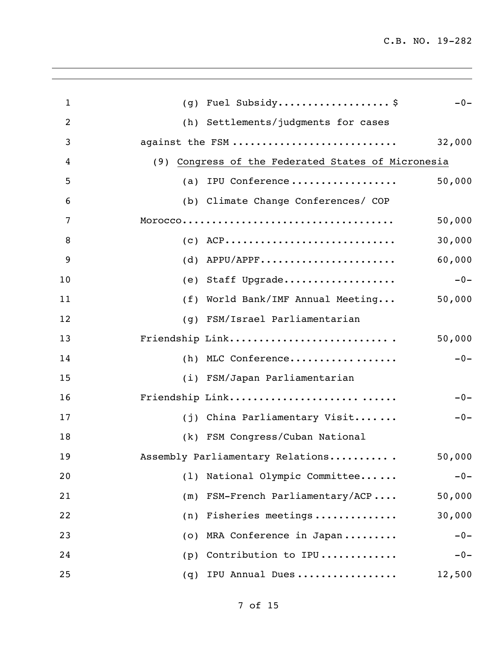| $\mathbf{1}$   | (g) Fuel Subsidy \$<br>$-0-$                       |
|----------------|----------------------------------------------------|
| $\overline{2}$ | (h) Settlements/judgments for cases                |
| 3              | against the FSM<br>32,000                          |
| 4              | (9) Congress of the Federated States of Micronesia |
| 5              | (a) IPU Conference<br>50,000                       |
| 6              | (b) Climate Change Conferences/ COP                |
| 7              | 50,000                                             |
| 8              | 30,000<br>$(C)$ ACP                                |
| 9              | 60,000<br>$(d)$ APPU/APPF                          |
| 10             | $-0-$<br>(e) Staff Upgrade                         |
| 11             | (f) World Bank/IMF Annual Meeting<br>50,000        |
| 12             | (q) FSM/Israel Parliamentarian                     |
| 13             | Friendship Link<br>50,000                          |
| 14             | $-0-$<br>(h) MLC Conference                        |
| 15             | (i) FSM/Japan Parliamentarian                      |
| 16             | Friendship Link<br>$-0-$                           |
| 17             | (j) China Parliamentary Visit<br>$-0-$             |
| 18             | (k) FSM Congress/Cuban National                    |
| 19             | Assembly Parliamentary Relations<br>50,000         |
| 20             | National Olympic Committee<br>$-0-$<br>(1)         |
| 21             | FSM-French Parliamentary/ACP<br>50,000<br>(m)      |
| 22             | 30,000<br>Fisheries meetings<br>(n)                |
| 23             | $-0-$<br>MRA Conference in Japan<br>(0)            |
| 24             | Contribution to IPU<br>$-0-$<br>(p)                |
| 25             | IPU Annual Dues<br>12,500<br>(q)                   |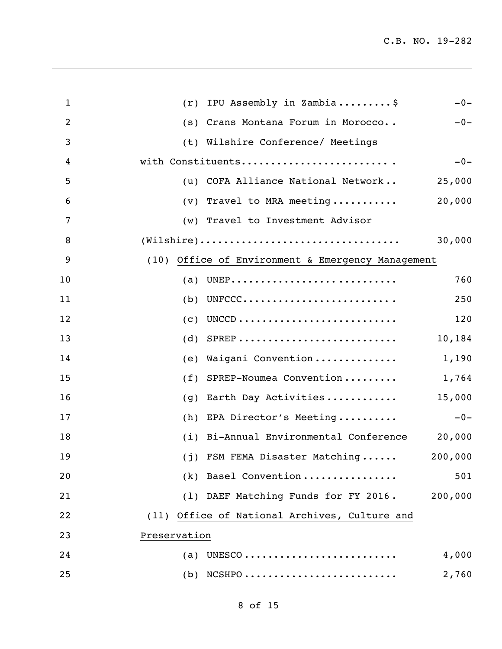| $\mathbf{1}$   | IPU Assembly in Zambia\$<br>$-0-$<br>(r)                                                          |
|----------------|---------------------------------------------------------------------------------------------------|
| $\overline{2}$ | (s) Crans Montana Forum in Morocco<br>$-0-$                                                       |
| 3              | (t) Wilshire Conference/ Meetings                                                                 |
| 4              | with Constituents<br>$-0-$                                                                        |
| 5              | (u) COFA Alliance National Network<br>25,000                                                      |
| 6              | 20,000<br>Travel to MRA meeting<br>$(\nu)$                                                        |
| 7              | (w) Travel to Investment Advisor                                                                  |
| 8              | $(\texttt{Wilshire}) \dots \dots \dots \dots \dots \dots \dots \dots \dots \dots \dots$<br>30,000 |
| 9              | (10) Office of Environment & Emergency Management                                                 |
| 10             | UNEP<br>760<br>(a)                                                                                |
| 11             | UNFCCC<br>250<br>(b)                                                                              |
| 12             | 120<br>(C)                                                                                        |
| 13             | 10,184<br>(d)                                                                                     |
| 14             | Waigani Convention<br>1,190<br>(e)                                                                |
| 15             | SPREP-Noumea Convention<br>1,764<br>(f)                                                           |
| 16             | Earth Day Activities<br>15,000<br>(q)                                                             |
| 17             | EPA Director's Meeting<br>$-0-$<br>(h)                                                            |
| 18             | (i) Bi-Annual Environmental Conference<br>20,000                                                  |
| 19             | (j) FSM FEMA Disaster Matching<br>200,000                                                         |
| 20             | (k) Basel Convention<br>501                                                                       |
| 21             | (1) DAEF Matching Funds for FY 2016.<br>200,000                                                   |
| 22             | (11) Office of National Archives, Culture and                                                     |
| 23             | Preservation                                                                                      |
| 24             | $(a)$ UNESCO<br>4,000                                                                             |
| 25             | $(b)$ NCSHPO<br>2,760                                                                             |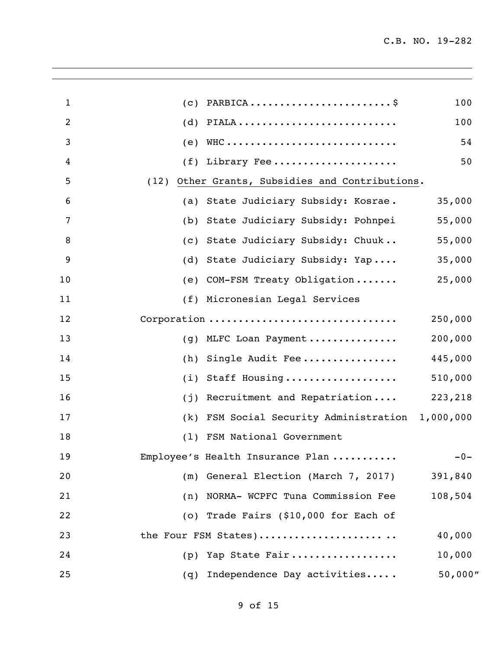| $\mathbf{1}$   | (C)  | PARBICA                                      | 100      |
|----------------|------|----------------------------------------------|----------|
| $\overline{2}$ | (d)  | PIALA                                        | 100      |
| 3              | (e)  |                                              | 54       |
| 4              | (f)  | Library Fee                                  | 50       |
| 5              | (12) | Other Grants, Subsidies and Contributions.   |          |
| 6              | (a)  | State Judiciary Subsidy: Kosrae.             | 35,000   |
| 7              | (b)  | State Judiciary Subsidy: Pohnpei             | 55,000   |
| 8              | (C)  | State Judiciary Subsidy: Chuuk               | 55,000   |
| 9              | (d)  | State Judiciary Subsidy: Yap                 | 35,000   |
| 10             | (e)  | COM-FSM Treaty Obligation                    | 25,000   |
| 11             |      | (f) Micronesian Legal Services               |          |
| 12             |      | Corporation                                  | 250,000  |
| 13             | (q)  | MLFC Loan Payment                            | 200,000  |
| 14             | (h)  | Single Audit Fee                             | 445,000  |
| 15             | (i)  | Staff Housing                                | 510,000  |
| 16             | (i)  | Recruitment and Repatriation                 | 223,218  |
| 17             | (k)  | FSM Social Security Administration 1,000,000 |          |
| 18             | (1)  | FSM National Government                      |          |
| 19             |      | Employee's Health Insurance Plan             | $-0-$    |
| 20             | (m)  | General Election (March 7, 2017)             | 391,840  |
| 21             |      | (n) NORMA- WCPFC Tuna Commission Fee         | 108,504  |
| 22             |      | (o) Trade Fairs (\$10,000 for Each of        |          |
| 23             |      | the Four FSM States)                         | 40,000   |
| 24             | (p)  | Yap State Fair                               | 10,000   |
| 25             | (q)  | Independence Day activities                  | 50,000'' |
|                |      |                                              |          |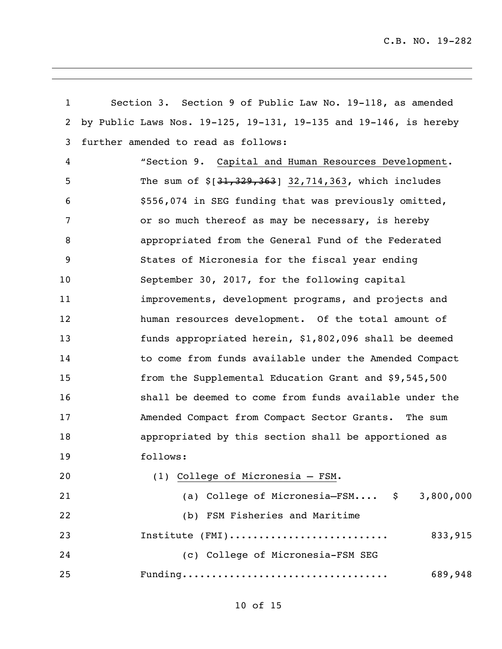| $\mathbf{1}$   | Section 3. Section 9 of Public Law No. 19-118, as amended        |  |
|----------------|------------------------------------------------------------------|--|
| $\overline{2}$ | by Public Laws Nos. 19-125, 19-131, 19-135 and 19-146, is hereby |  |
| 3              | further amended to read as follows:                              |  |
| 4              | "Section 9. Capital and Human Resources Development.             |  |
| 5              | The sum of $\S[31, 329, 363]$ 32,714,363, which includes         |  |
| 6              | \$556,074 in SEG funding that was previously omitted,            |  |
| $\overline{7}$ | or so much thereof as may be necessary, is hereby                |  |
| 8              | appropriated from the General Fund of the Federated              |  |
| 9              | States of Micronesia for the fiscal year ending                  |  |
| 10             | September 30, 2017, for the following capital                    |  |
| 11             | improvements, development programs, and projects and             |  |
| 12             | human resources development. Of the total amount of              |  |
| 13             | funds appropriated herein, \$1,802,096 shall be deemed           |  |
| 14             | to come from funds available under the Amended Compact           |  |
| 15             | from the Supplemental Education Grant and \$9,545,500            |  |
| 16             | shall be deemed to come from funds available under the           |  |
| 17             | Amended Compact from Compact Sector Grants. The sum              |  |
| 18             | appropriated by this section shall be apportioned as             |  |
| 19             | follows:                                                         |  |
| 20             | (1) College of Micronesia - FSM.                                 |  |
| 21             | (a) College of Micronesia-FSM \$<br>3,800,000                    |  |
| 22             | (b) FSM Fisheries and Maritime                                   |  |
| 23             | Institute (FMI)<br>833,915                                       |  |
| 24             | (c) College of Micronesia-FSM SEG                                |  |
| 25             | 689,948                                                          |  |

## of 15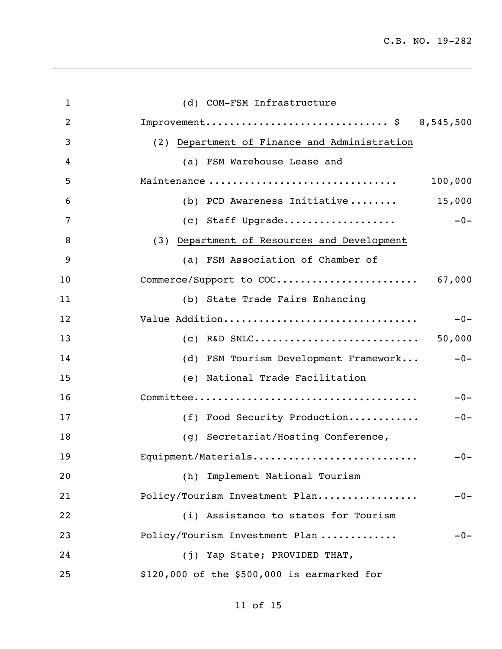| $\mathbf{1}$   | (d) COM-FSM Infrastructure                     |
|----------------|------------------------------------------------|
| $\overline{2}$ | Improvement \$ 8,545,500                       |
| 3              | (2) Department of Finance and Administration   |
| 4              | (a) FSM Warehouse Lease and                    |
| 5              | Maintenance<br>100,000                         |
| 6              | 15,000<br>(b) PCD Awareness Initiative         |
| 7              | $-0-$<br>(c) Staff Upgrade                     |
| 8              | (3) Department of Resources and Development    |
| 9              | (a) FSM Association of Chamber of              |
| 10             | Commerce/Support to COC 67,000                 |
| 11             | (b) State Trade Fairs Enhancing                |
| 12             | Value Addition<br>$-0-$                        |
| 13             | 50,000                                         |
| 14             | (d) FSM Tourism Development Framework<br>$-0-$ |
| 15             | (e) National Trade Facilitation                |
| 16             | $-0-$                                          |
| 17             | (f) Food Security Production<br>$-0-$          |
| 18             | (g) Secretariat/Hosting Conference,            |
| 19             | Equipment/Materials<br>$-0-$                   |
| 20             | (h) Implement National Tourism                 |
| 21             | Policy/Tourism Investment Plan<br>$-0-$        |
| 22             | (i) Assistance to states for Tourism           |
| 23             | Policy/Tourism Investment Plan<br>$-0-$        |
| 24             | (j) Yap State; PROVIDED THAT,                  |
| 25             | \$120,000 of the \$500,000 is earmarked for    |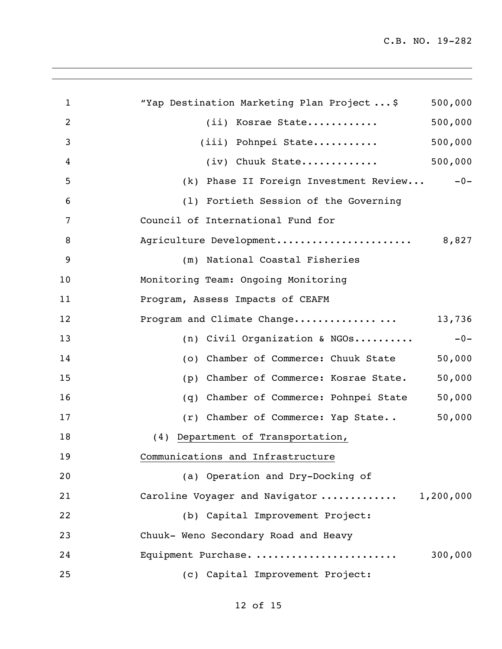| $\mathbf{1}$   | "Yap Destination Marketing Plan Project\$<br>500,000 |
|----------------|------------------------------------------------------|
| $\overline{2}$ | 500,000<br>(ii) Kosrae State                         |
| 3              | 500,000<br>(iii) Pohnpei State                       |
| 4              | 500,000<br>$(iv)$ Chuuk State                        |
| 5              | (k) Phase II Foreign Investment Review<br>$-0-$      |
| 6              | (1) Fortieth Session of the Governing                |
| 7              | Council of International Fund for                    |
| 8              | Agriculture Development<br>8,827                     |
| 9              | (m) National Coastal Fisheries                       |
| 10             | Monitoring Team: Ongoing Monitoring                  |
| 11             | Program, Assess Impacts of CEAFM                     |
| 12             | Program and Climate Change<br>13,736                 |
| 13             | (n) Civil Organization & NGOs<br>$-0-$               |
| 14             | (o) Chamber of Commerce: Chuuk State<br>50,000       |
| 15             | 50,000<br>Chamber of Commerce: Kosrae State.<br>(p)  |
| 16             | 50,000<br>Chamber of Commerce: Pohnpei State<br>(q)  |
| 17             | 50,000<br>(r) Chamber of Commerce: Yap State         |
| 18             | (4) Department of Transportation,                    |
| 19             | Communications and Infrastructure                    |
| 20             | (a) Operation and Dry-Docking of                     |
| 21             | Caroline Voyager and Navigator<br>1,200,000          |
| 22             | (b) Capital Improvement Project:                     |
| 23             | Chuuk- Weno Secondary Road and Heavy                 |
| 24             | Equipment Purchase.<br>300,000                       |
| 25             | (c) Capital Improvement Project:                     |

## of 15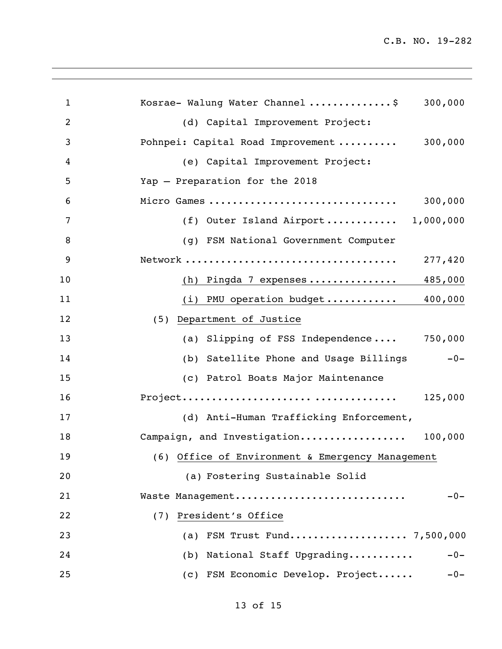| $\mathbf{1}$   | Kosrae- Walung Water Channel \$<br>300,000       |
|----------------|--------------------------------------------------|
|                |                                                  |
| $\overline{2}$ | (d) Capital Improvement Project:                 |
| 3              | 300,000<br>Pohnpei: Capital Road Improvement     |
| 4              | (e) Capital Improvement Project:                 |
| 5              | Yap - Preparation for the 2018                   |
| 6              | 300,000<br>Micro Games                           |
| 7              | (f) Outer Island Airport $1,000,000$             |
| 8              | (g) FSM National Government Computer             |
| 9              | 277,420                                          |
| 10             | (h) Pingda 7 expenses<br>485,000                 |
| 11             | 400,000<br>$(i)$ PMU operation budget            |
| 12             | (5) Department of Justice                        |
| 13             | (a) Slipping of FSS Independence 750,000         |
| 14             | (b) Satellite Phone and Usage Billings<br>$-0-$  |
| 15             | (c) Patrol Boats Major Maintenance               |
| 16             | 125,000                                          |
| 17             | (d) Anti-Human Trafficking Enforcement,          |
| 18             | Campaign, and Investigation 100,000              |
| 19             | (6) Office of Environment & Emergency Management |
| 20             | (a) Fostering Sustainable Solid                  |
| 21             | Waste Management<br>$-0-$                        |
| 22             | (7) President's Office                           |
| 23             | (a) FSM Trust Fund 7,500,000                     |
| 24             | (b) National Staff Upgrading<br>$-0-$            |
| 25             | (c) FSM Economic Develop. Project<br>$-0-$       |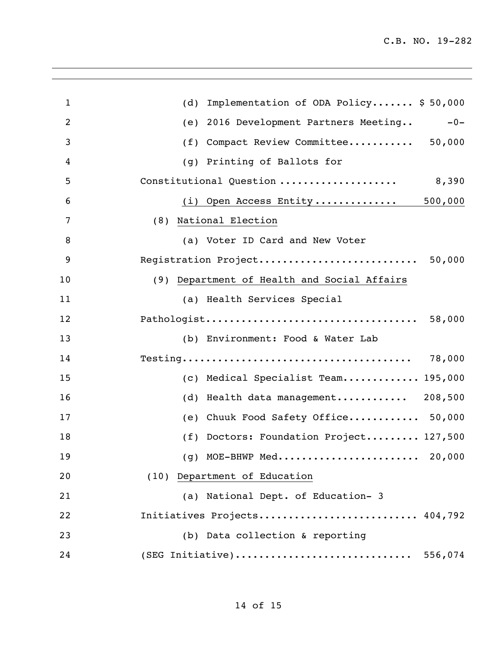| $\mathbf{1}$   | Implementation of ODA Policy \$50,000<br>(d)      |
|----------------|---------------------------------------------------|
| $\overline{2}$ | 2016 Development Partners Meeting<br>$-0-$<br>(e) |
| 3              | Compact Review Committee 50,000<br>(f)            |
| 4              | Printing of Ballots for<br>(q)                    |
| 5              | Constitutional Question<br>8,390                  |
| 6              | (i) Open Access Entity 500,000                    |
| 7              | (8) National Election                             |
| 8              | (a) Voter ID Card and New Voter                   |
| 9              | Registration Project<br>50,000                    |
| 10             | (9) Department of Health and Social Affairs       |
| 11             | (a) Health Services Special                       |
| 12             | 58,000                                            |
| 13             | (b) Environment: Food & Water Lab                 |
| 14             | 78,000                                            |
| 15             | (c) Medical Specialist Team 195,000               |
| 16             | Health data management 208,500<br>(d)             |
| 17             | Chuuk Food Safety Office 50,000<br>(e)            |
| 18             | (f) Doctors: Foundation Project 127,500           |
| 19             | (g) MOE-BHWP Med<br>20,000                        |
| 20             | (10) Department of Education                      |
| 21             | (a) National Dept. of Education- 3                |
| 22             | Initiatives Projects 404,792                      |
| 23             | (b) Data collection & reporting                   |
| 24             | (SEG Initiative)<br>556,074                       |